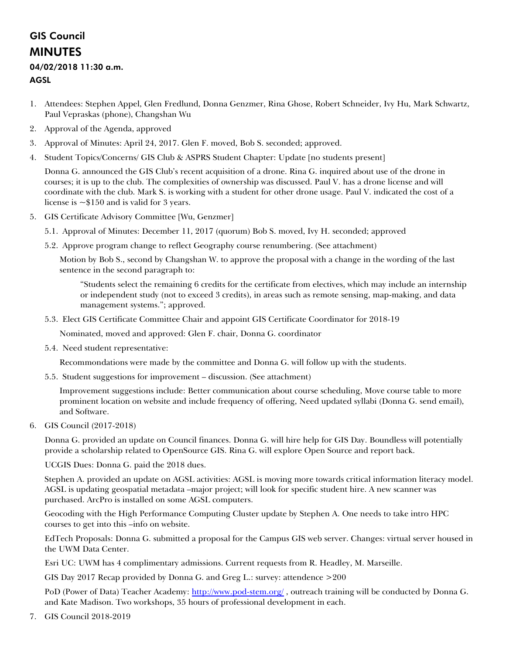### GIS Council MINUTES

#### 04/02/2018 11:30 a.m.

#### AGSL

- 1. Attendees: Stephen Appel, Glen Fredlund, Donna Genzmer, Rina Ghose, Robert Schneider, Ivy Hu, Mark Schwartz, Paul Vepraskas (phone), Changshan Wu
- 2. Approval of the Agenda, approved
- 3. Approval of Minutes: April 24, 2017. Glen F. moved, Bob S. seconded; approved.
- 4. Student Topics/Concerns/ GIS Club & ASPRS Student Chapter: Update [no students present]

Donna G. announced the GIS Club's recent acquisition of a drone. Rina G. inquired about use of the drone in courses; it is up to the club. The complexities of ownership was discussed. Paul V. has a drone license and will coordinate with the club. Mark S. is working with a student for other drone usage. Paul V. indicated the cost of a license is  $\sim $150$  and is valid for 3 years.

- 5. GIS Certificate Advisory Committee [Wu, Genzmer]
	- 5.1. Approval of Minutes: December 11, 2017 (quorum) Bob S. moved, Ivy H. seconded; approved
	- 5.2. Approve program change to reflect Geography course renumbering. (See attachment)

Motion by Bob S., second by Changshan W. to approve the proposal with a change in the wording of the last sentence in the second paragraph to:

"Students select the remaining 6 credits for the certificate from electives, which may include an internship or independent study (not to exceed 3 credits), in areas such as remote sensing, map-making, and data management systems."; approved.

5.3. Elect GIS Certificate Committee Chair and appoint GIS Certificate Coordinator for 2018-19

Nominated, moved and approved: Glen F. chair, Donna G. coordinator

5.4. Need student representative:

Recommondations were made by the committee and Donna G. will follow up with the students.

5.5. Student suggestions for improvement – discussion. (See attachment)

Improvement suggestions include: Better communication about course scheduling, Move course table to more prominent location on website and include frequency of offering, Need updated syllabi (Donna G. send email), and Software.

6. GIS Council (2017-2018)

Donna G. provided an update on Council finances. Donna G. will hire help for GIS Day. Boundless will potentially provide a scholarship related to OpenSource GIS. Rina G. will explore Open Source and report back.

UCGIS Dues: Donna G. paid the 2018 dues.

Stephen A. provided an update on AGSL activities: AGSL is moving more towards critical information literacy model. AGSL is updating geospatial metadata –major project; will look for specific student hire. A new scanner was purchased. ArcPro is installed on some AGSL computers.

Geocoding with the High Performance Computing Cluster update by Stephen A. One needs to take intro HPC courses to get into this –info on website.

EdTech Proposals: Donna G. submitted a proposal for the Campus GIS web server. Changes: virtual server housed in the UWM Data Center.

Esri UC: UWM has 4 complimentary admissions. Current requests from R. Headley, M. Marseille.

GIS Day 2017 Recap provided by Donna G. and Greg L.: survey: attendence >200

PoD (Power of Data) Teacher Academy:<http://www.pod-stem.org/> , outreach training will be conducted by Donna G. and Kate Madison. Two workshops, 35 hours of professional development in each.

7. GIS Council 2018-2019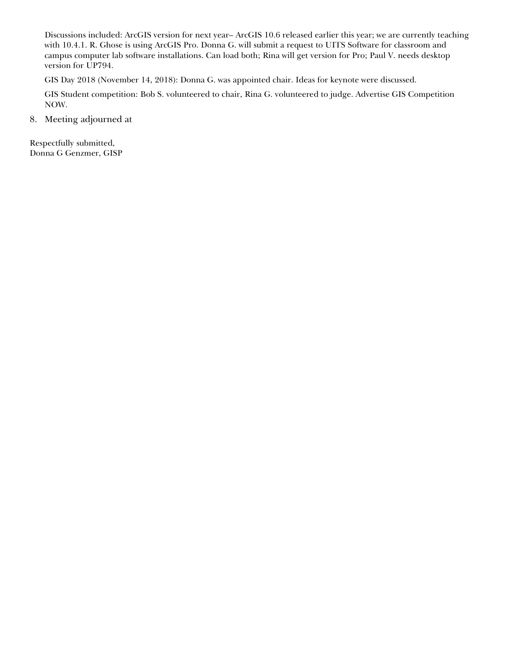Discussions included: ArcGIS version for next year– ArcGIS 10.6 released earlier this year; we are currently teaching with 10.4.1. R. Ghose is using ArcGIS Pro. Donna G. will submit a request to UITS Software for classroom and campus computer lab software installations. Can load both; Rina will get version for Pro; Paul V. needs desktop version for UP794.

GIS Day 2018 (November 14, 2018): Donna G. was appointed chair. Ideas for keynote were discussed.

GIS Student competition: Bob S. volunteered to chair, Rina G. volunteered to judge. Advertise GIS Competition NOW.

8. Meeting adjourned at

Respectfully submitted, Donna G Genzmer, GISP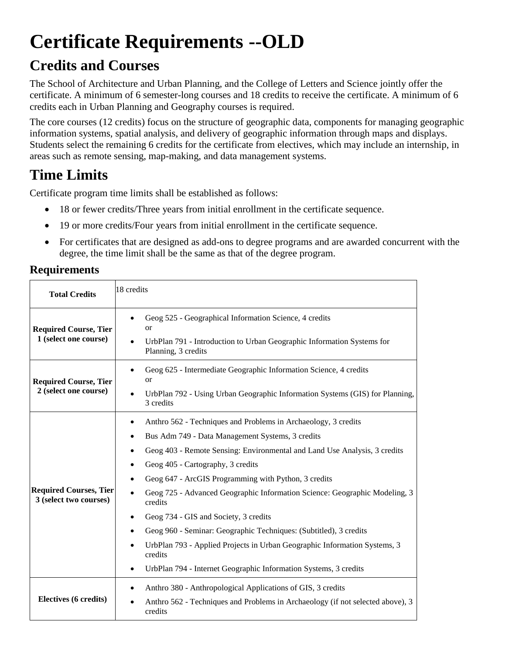# **Certificate Requirements --OLD**

### **Credits and Courses**

The School of Architecture and Urban Planning, and the College of Letters and Science jointly offer the certificate. A minimum of 6 semester-long courses and 18 credits to receive the certificate. A minimum of 6 credits each in Urban Planning and Geography courses is required.

The core courses (12 credits) focus on the structure of geographic data, components for managing geographic information systems, spatial analysis, and delivery of geographic information through maps and displays. Students select the remaining 6 credits for the certificate from electives, which may include an internship, in areas such as remote sensing, map-making, and data management systems.

## **Time Limits**

Certificate program time limits shall be established as follows:

- 18 or fewer credits/Three years from initial enrollment in the certificate sequence.
- 19 or more credits/Four years from initial enrollment in the certificate sequence.
- For certificates that are designed as add-ons to degree programs and are awarded concurrent with the degree, the time limit shall be the same as that of the degree program.

### **Requirements**

| <b>Total Credits</b>                                    | 18 credits                                                                                                                                                                                                                                                                                                                                                                                                                                                                                                                                                                                                                                                      |
|---------------------------------------------------------|-----------------------------------------------------------------------------------------------------------------------------------------------------------------------------------------------------------------------------------------------------------------------------------------------------------------------------------------------------------------------------------------------------------------------------------------------------------------------------------------------------------------------------------------------------------------------------------------------------------------------------------------------------------------|
| <b>Required Course, Tier</b><br>1 (select one course)   | Geog 525 - Geographical Information Science, 4 credits<br><b>or</b><br>UrbPlan 791 - Introduction to Urban Geographic Information Systems for<br>Planning, 3 credits                                                                                                                                                                                                                                                                                                                                                                                                                                                                                            |
| <b>Required Course, Tier</b><br>2 (select one course)   | Geog 625 - Intermediate Geographic Information Science, 4 credits<br>or<br>UrbPlan 792 - Using Urban Geographic Information Systems (GIS) for Planning,<br>3 credits                                                                                                                                                                                                                                                                                                                                                                                                                                                                                            |
| <b>Required Courses, Tier</b><br>3 (select two courses) | Anthro 562 - Techniques and Problems in Archaeology, 3 credits<br>Bus Adm 749 - Data Management Systems, 3 credits<br>Geog 403 - Remote Sensing: Environmental and Land Use Analysis, 3 credits<br>Geog 405 - Cartography, 3 credits<br>Geog 647 - ArcGIS Programming with Python, 3 credits<br>Geog 725 - Advanced Geographic Information Science: Geographic Modeling, 3<br>credits<br>Geog 734 - GIS and Society, 3 credits<br>Geog 960 - Seminar: Geographic Techniques: (Subtitled), 3 credits<br>UrbPlan 793 - Applied Projects in Urban Geographic Information Systems, 3<br>credits<br>UrbPlan 794 - Internet Geographic Information Systems, 3 credits |
| Electives (6 credits)                                   | Anthro 380 - Anthropological Applications of GIS, 3 credits<br>Anthro 562 - Techniques and Problems in Archaeology (if not selected above), 3<br>credits                                                                                                                                                                                                                                                                                                                                                                                                                                                                                                        |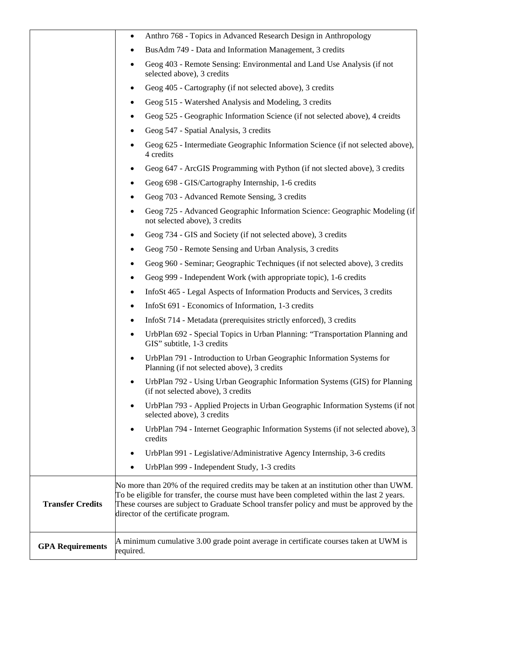|                         | Anthro 768 - Topics in Advanced Research Design in Anthropology<br>٠                                                                                                                                                                                                                                                     |
|-------------------------|--------------------------------------------------------------------------------------------------------------------------------------------------------------------------------------------------------------------------------------------------------------------------------------------------------------------------|
|                         | BusAdm 749 - Data and Information Management, 3 credits<br>٠                                                                                                                                                                                                                                                             |
|                         | Geog 403 - Remote Sensing: Environmental and Land Use Analysis (if not<br>٠<br>selected above), 3 credits                                                                                                                                                                                                                |
|                         | Geog 405 - Cartography (if not selected above), 3 credits<br>٠                                                                                                                                                                                                                                                           |
|                         | Geog 515 - Watershed Analysis and Modeling, 3 credits                                                                                                                                                                                                                                                                    |
|                         | Geog 525 - Geographic Information Science (if not selected above), 4 creidts<br>٠                                                                                                                                                                                                                                        |
|                         | Geog 547 - Spatial Analysis, 3 credits                                                                                                                                                                                                                                                                                   |
|                         | Geog 625 - Intermediate Geographic Information Science (if not selected above),<br>4 credits                                                                                                                                                                                                                             |
|                         | Geog 647 - ArcGIS Programming with Python (if not slected above), 3 credits<br>٠                                                                                                                                                                                                                                         |
|                         | Geog 698 - GIS/Cartography Internship, 1-6 credits                                                                                                                                                                                                                                                                       |
|                         | Geog 703 - Advanced Remote Sensing, 3 credits                                                                                                                                                                                                                                                                            |
|                         | Geog 725 - Advanced Geographic Information Science: Geographic Modeling (if<br>not selected above), 3 credits                                                                                                                                                                                                            |
|                         | Geog 734 - GIS and Society (if not selected above), 3 credits                                                                                                                                                                                                                                                            |
|                         | Geog 750 - Remote Sensing and Urban Analysis, 3 credits<br>٠                                                                                                                                                                                                                                                             |
|                         | Geog 960 - Seminar; Geographic Techniques (if not selected above), 3 credits<br>٠                                                                                                                                                                                                                                        |
|                         | Geog 999 - Independent Work (with appropriate topic), 1-6 credits<br>٠                                                                                                                                                                                                                                                   |
|                         | InfoSt 465 - Legal Aspects of Information Products and Services, 3 credits<br>٠                                                                                                                                                                                                                                          |
|                         | InfoSt 691 - Economics of Information, 1-3 credits<br>٠                                                                                                                                                                                                                                                                  |
|                         | InfoSt 714 - Metadata (prerequisites strictly enforced), 3 credits<br>٠                                                                                                                                                                                                                                                  |
|                         | UrbPlan 692 - Special Topics in Urban Planning: "Transportation Planning and<br>٠<br>GIS" subtitle, 1-3 credits                                                                                                                                                                                                          |
|                         | UrbPlan 791 - Introduction to Urban Geographic Information Systems for<br>$\bullet$<br>Planning (if not selected above), 3 credits                                                                                                                                                                                       |
|                         | UrbPlan 792 - Using Urban Geographic Information Systems (GIS) for Planning<br>(if not selected above), 3 credits                                                                                                                                                                                                        |
|                         | UrbPlan 793 - Applied Projects in Urban Geographic Information Systems (if not<br>٠<br>selected above), 3 credits                                                                                                                                                                                                        |
|                         | UrbPlan 794 - Internet Geographic Information Systems (if not selected above), 3<br>٠<br>credits                                                                                                                                                                                                                         |
|                         | UrbPlan 991 - Legislative/Administrative Agency Internship, 3-6 credits<br>٠                                                                                                                                                                                                                                             |
|                         | UrbPlan 999 - Independent Study, 1-3 credits<br>٠                                                                                                                                                                                                                                                                        |
| <b>Transfer Credits</b> | No more than 20% of the required credits may be taken at an institution other than UWM.<br>To be eligible for transfer, the course must have been completed within the last 2 years.<br>These courses are subject to Graduate School transfer policy and must be approved by the<br>director of the certificate program. |
| <b>GPA Requirements</b> | A minimum cumulative 3.00 grade point average in certificate courses taken at UWM is<br>required.                                                                                                                                                                                                                        |

 $\lfloor$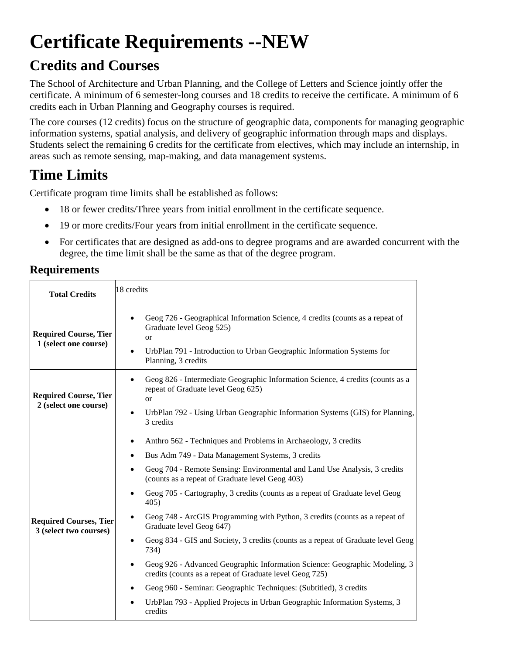# **Certificate Requirements --NEW**

### **Credits and Courses**

The School of Architecture and Urban Planning, and the College of Letters and Science jointly offer the certificate. A minimum of 6 semester-long courses and 18 credits to receive the certificate. A minimum of 6 credits each in Urban Planning and Geography courses is required.

The core courses (12 credits) focus on the structure of geographic data, components for managing geographic information systems, spatial analysis, and delivery of geographic information through maps and displays. Students select the remaining 6 credits for the certificate from electives, which may include an internship, in areas such as remote sensing, map-making, and data management systems.

## **Time Limits**

Certificate program time limits shall be established as follows:

- 18 or fewer credits/Three years from initial enrollment in the certificate sequence.
- 19 or more credits/Four years from initial enrollment in the certificate sequence.
- For certificates that are designed as add-ons to degree programs and are awarded concurrent with the degree, the time limit shall be the same as that of the degree program.

### **Requirements**

| <b>Total Credits</b>                                    | 18 credits                                                                                                                                                                                                                                                                                                                                                                                                                                                                                                                                                                                                                                                                                                                                                                                                                                                           |
|---------------------------------------------------------|----------------------------------------------------------------------------------------------------------------------------------------------------------------------------------------------------------------------------------------------------------------------------------------------------------------------------------------------------------------------------------------------------------------------------------------------------------------------------------------------------------------------------------------------------------------------------------------------------------------------------------------------------------------------------------------------------------------------------------------------------------------------------------------------------------------------------------------------------------------------|
| <b>Required Course, Tier</b><br>1 (select one course)   | Geog 726 - Geographical Information Science, 4 credits (counts as a repeat of<br>$\bullet$<br>Graduate level Geog 525)<br><b>or</b><br>UrbPlan 791 - Introduction to Urban Geographic Information Systems for<br>Planning, 3 credits                                                                                                                                                                                                                                                                                                                                                                                                                                                                                                                                                                                                                                 |
| <b>Required Course, Tier</b><br>2 (select one course)   | Geog 826 - Intermediate Geographic Information Science, 4 credits (counts as a<br>٠<br>repeat of Graduate level Geog 625)<br><b>or</b><br>UrbPlan 792 - Using Urban Geographic Information Systems (GIS) for Planning,<br>3 credits                                                                                                                                                                                                                                                                                                                                                                                                                                                                                                                                                                                                                                  |
| <b>Required Courses, Tier</b><br>3 (select two courses) | Anthro 562 - Techniques and Problems in Archaeology, 3 credits<br>Bus Adm 749 - Data Management Systems, 3 credits<br>Geog 704 - Remote Sensing: Environmental and Land Use Analysis, 3 credits<br>(counts as a repeat of Graduate level Geog 403)<br>Geog 705 - Cartography, 3 credits (counts as a repeat of Graduate level Geog<br>405)<br>Geog 748 - ArcGIS Programming with Python, 3 credits (counts as a repeat of<br>$\bullet$<br>Graduate level Geog 647)<br>Geog 834 - GIS and Society, 3 credits (counts as a repeat of Graduate level Geog<br>734)<br>Geog 926 - Advanced Geographic Information Science: Geographic Modeling, 3<br>credits (counts as a repeat of Graduate level Geog 725)<br>Geog 960 - Seminar: Geographic Techniques: (Subtitled), 3 credits<br>UrbPlan 793 - Applied Projects in Urban Geographic Information Systems, 3<br>credits |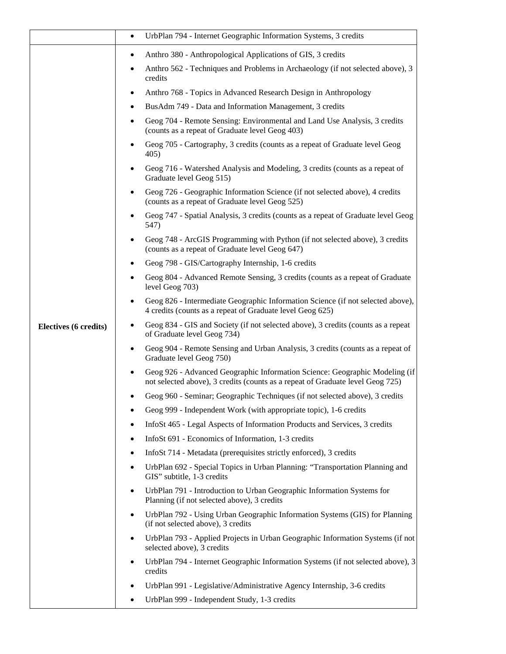|                       | UrbPlan 794 - Internet Geographic Information Systems, 3 credits<br>$\bullet$                                                                                              |
|-----------------------|----------------------------------------------------------------------------------------------------------------------------------------------------------------------------|
|                       | Anthro 380 - Anthropological Applications of GIS, 3 credits<br>٠                                                                                                           |
|                       | Anthro 562 - Techniques and Problems in Archaeology (if not selected above), 3<br>credits                                                                                  |
|                       | Anthro 768 - Topics in Advanced Research Design in Anthropology<br>$\bullet$                                                                                               |
|                       | BusAdm 749 - Data and Information Management, 3 credits                                                                                                                    |
|                       | Geog 704 - Remote Sensing: Environmental and Land Use Analysis, 3 credits<br>٠<br>(counts as a repeat of Graduate level Geog 403)                                          |
|                       | Geog 705 - Cartography, 3 credits (counts as a repeat of Graduate level Geog<br>405)                                                                                       |
|                       | Geog 716 - Watershed Analysis and Modeling, 3 credits (counts as a repeat of<br>Graduate level Geog 515)                                                                   |
|                       | Geog 726 - Geographic Information Science (if not selected above), 4 credits<br>(counts as a repeat of Graduate level Geog 525)                                            |
|                       | Geog 747 - Spatial Analysis, 3 credits (counts as a repeat of Graduate level Geog<br>547)                                                                                  |
|                       | Geog 748 - ArcGIS Programming with Python (if not selected above), 3 credits<br>٠<br>(counts as a repeat of Graduate level Geog 647)                                       |
|                       | Geog 798 - GIS/Cartography Internship, 1-6 credits                                                                                                                         |
|                       | Geog 804 - Advanced Remote Sensing, 3 credits (counts as a repeat of Graduate<br>level Geog 703)                                                                           |
|                       | Geog 826 - Intermediate Geographic Information Science (if not selected above),<br>4 credits (counts as a repeat of Graduate level Geog 625)                               |
| Electives (6 credits) | Geog 834 - GIS and Society (if not selected above), 3 credits (counts as a repeat<br>of Graduate level Geog 734)                                                           |
|                       | Geog 904 - Remote Sensing and Urban Analysis, 3 credits (counts as a repeat of<br>٠<br>Graduate level Geog 750)                                                            |
|                       | Geog 926 - Advanced Geographic Information Science: Geographic Modeling (if<br>$\bullet$<br>not selected above), 3 credits (counts as a repeat of Graduate level Geog 725) |
|                       | Geog 960 - Seminar; Geographic Techniques (if not selected above), 3 credits                                                                                               |
|                       | Geog 999 - Independent Work (with appropriate topic), 1-6 credits                                                                                                          |
|                       | InfoSt 465 - Legal Aspects of Information Products and Services, 3 credits                                                                                                 |
|                       | InfoSt 691 - Economics of Information, 1-3 credits                                                                                                                         |
|                       | InfoSt 714 - Metadata (prerequisites strictly enforced), 3 credits<br>٠                                                                                                    |
|                       | UrbPlan 692 - Special Topics in Urban Planning: "Transportation Planning and<br>$\bullet$<br>GIS" subtitle, 1-3 credits                                                    |
|                       | UrbPlan 791 - Introduction to Urban Geographic Information Systems for<br>٠<br>Planning (if not selected above), 3 credits                                                 |
|                       | UrbPlan 792 - Using Urban Geographic Information Systems (GIS) for Planning<br>٠<br>(if not selected above), 3 credits                                                     |
|                       | UrbPlan 793 - Applied Projects in Urban Geographic Information Systems (if not<br>$\bullet$<br>selected above), 3 credits                                                  |
|                       | UrbPlan 794 - Internet Geographic Information Systems (if not selected above), 3<br>٠<br>credits                                                                           |
|                       | UrbPlan 991 - Legislative/Administrative Agency Internship, 3-6 credits                                                                                                    |
|                       | UrbPlan 999 - Independent Study, 1-3 credits                                                                                                                               |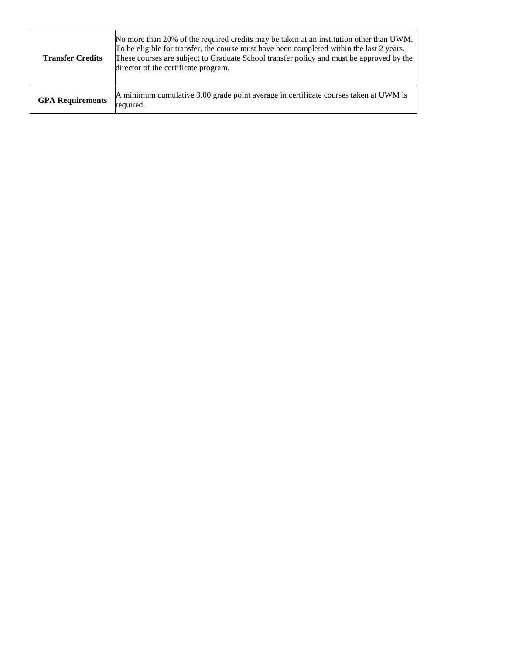| <b>Transfer Credits</b> | No more than 20% of the required credits may be taken at an institution other than UWM.<br>To be eligible for transfer, the course must have been completed within the last 2 years.<br>These courses are subject to Graduate School transfer policy and must be approved by the<br>director of the certificate program. |
|-------------------------|--------------------------------------------------------------------------------------------------------------------------------------------------------------------------------------------------------------------------------------------------------------------------------------------------------------------------|
| <b>GPA Requirements</b> | A minimum cumulative 3.00 grade point average in certificate courses taken at UWM is<br>required.                                                                                                                                                                                                                        |